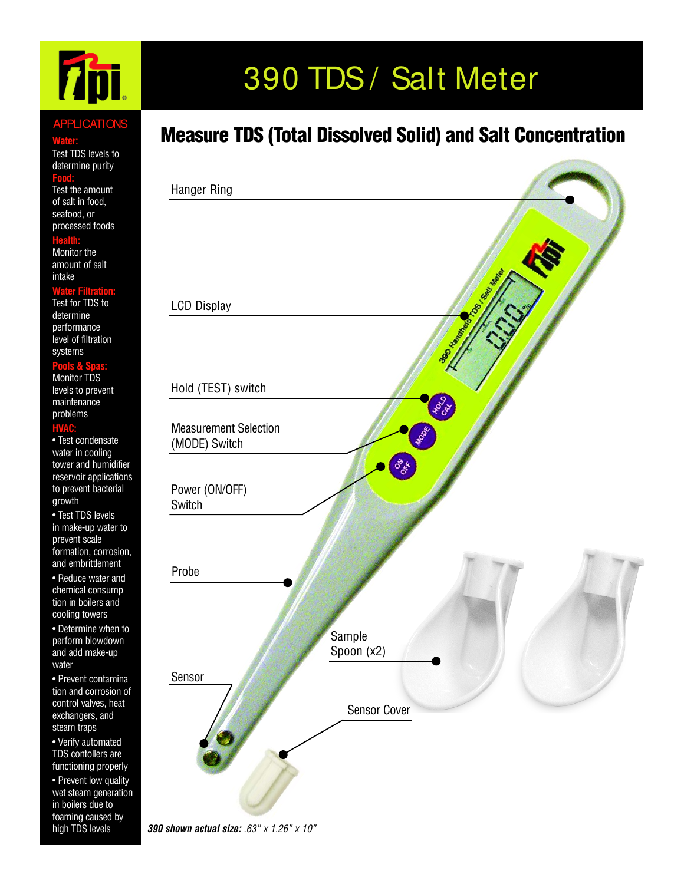# **Thu**

#### **APPLICATIONS**

#### **Water:**

Test TDS levels to determine purity

#### **Food:**

Test the amount of salt in food, seafood, or processed foods

#### **Health:**

Monitor the amount of salt intake

#### **Water Filtration:**

Test for TDS to determine performance level of filtration systems

#### **Pools & Spas:**

Monitor TDS levels to prevent maintenance problems

#### **HVAC:**

• Test condensate water in cooling tower and humidifier reservoir applications to prevent bacterial growth

• Test TDS levels in make-up water to prevent scale formation, corrosion, and embrittlement

• Reduce water and chemical consump tion in boilers and cooling towers

• Determine when to perform blowdown and add make-up water

• Prevent contamina tion and corrosion of control valves, heat exchangers, and steam traps

• Verify automated TDS contollers are functioning properly

• Prevent low quality wet steam generation in boilers due to foaming caused by high TDS levels

# 390 TDS / Salt Meter

### Measure TDS (Total Dissolved Solid) and Salt Concentration